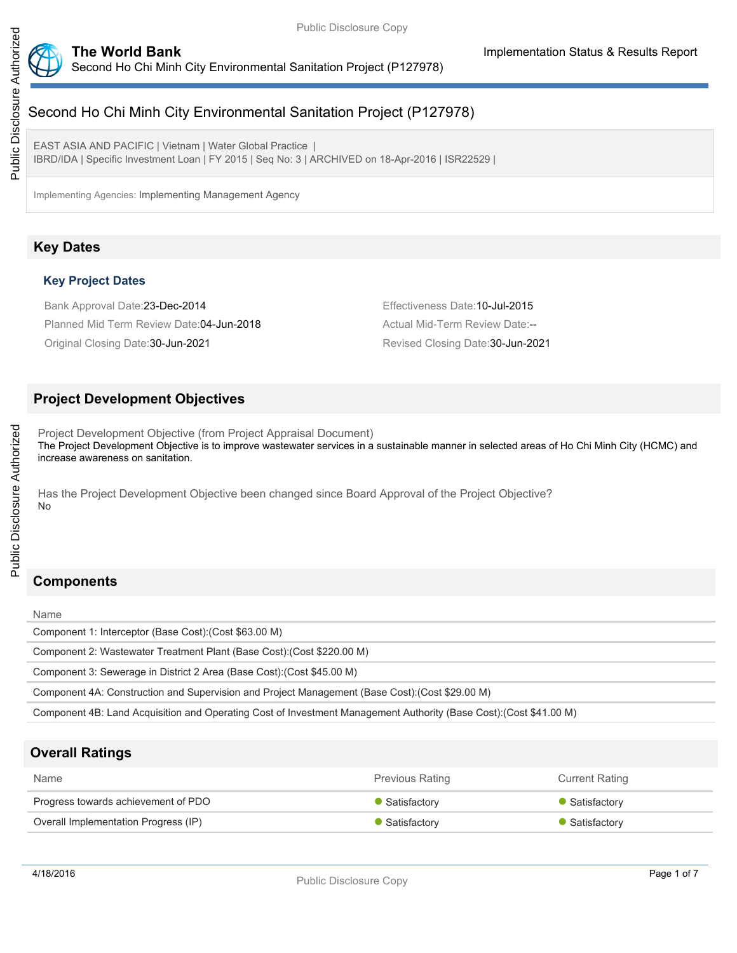

# Second Ho Chi Minh City Environmental Sanitation Project (P127978)

EAST ASIA AND PACIFIC | Vietnam | Water Global Practice | IBRD/IDA | Specific Investment Loan | FY 2015 | Seq No: 3 | ARCHIVED on 18-Apr-2016 | ISR22529 |

Implementing Agencies: Implementing Management Agency

# **Key Dates**

## **Key Project Dates**

Bank Approval Date:23-Dec-2014 Effectiveness Date:10-Jul-2015 Planned Mid Term Review Date: 04-Jun-2018 Actual Mid-Term Review Date:--Original Closing Date:30-Jun-2021 Revised Closing Date:30-Jun-2021

## **Project Development Objectives**

Project Development Objective (from Project Appraisal Document) The Project Development Objective is to improve wastewater services in a sustainable manner in selected areas of Ho Chi Minh City (HCMC) and increase awareness on sanitation.

Has the Project Development Objective been changed since Board Approval of the Project Objective? No

# **Components**

#### Name

Public Disclosure Authorized

Public Disclosure Authorized

Component 1: Interceptor (Base Cost):(Cost \$63.00 M)

Component 2: Wastewater Treatment Plant (Base Cost):(Cost \$220.00 M)

Component 3: Sewerage in District 2 Area (Base Cost):(Cost \$45.00 M)

Component 4A: Construction and Supervision and Project Management (Base Cost):(Cost \$29.00 M)

Component 4B: Land Acquisition and Operating Cost of Investment Management Authority (Base Cost):(Cost \$41.00 M)

# **Overall Ratings**

| <b>Name</b>                          | <b>Previous Rating</b> | <b>Current Rating</b> |
|--------------------------------------|------------------------|-----------------------|
| Progress towards achievement of PDO  | Satisfactory           | • Satisfactory        |
| Overall Implementation Progress (IP) | Satisfactory           | • Satisfactory        |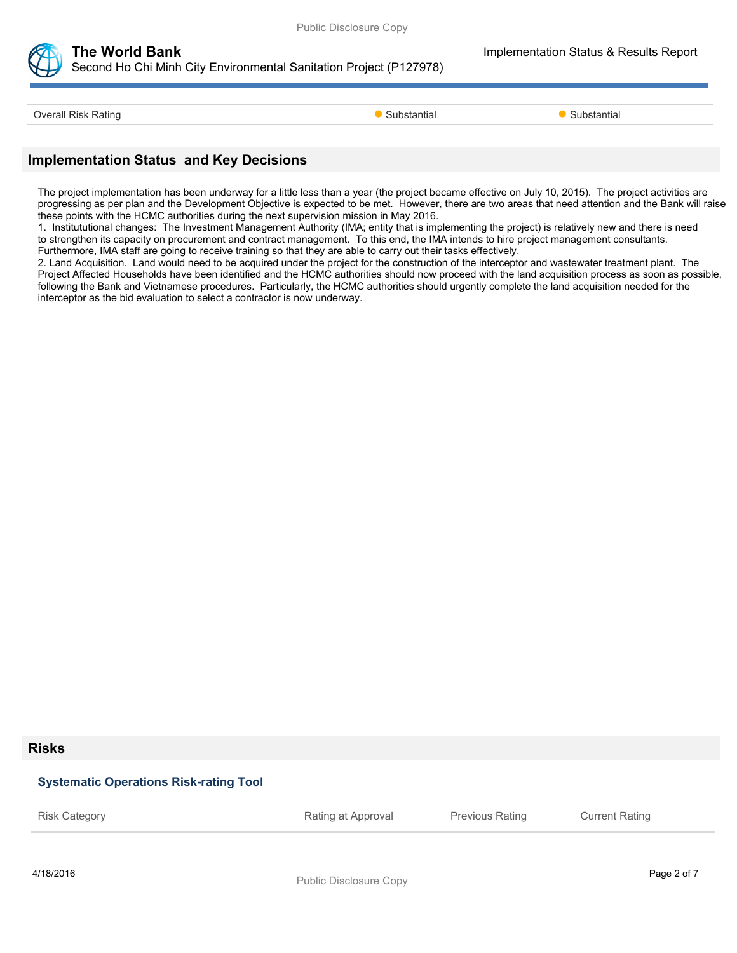



# **The World Bank Implementation Status & Results Report**

Second Ho Chi Minh City Environmental Sanitation Project (P127978)

Overall Risk Rating **Substantial Substantial Coverall Risk Rating Substantial Substantial Substantial** 

# **Implementation Status and Key Decisions**

The project implementation has been underway for a little less than a year (the project became effective on July 10, 2015). The project activities are progressing as per plan and the Development Objective is expected to be met. However, there are two areas that need attention and the Bank will raise these points with the HCMC authorities during the next supervision mission in May 2016.

1. Institututional changes: The Investment Management Authority (IMA; entity that is implementing the project) is relatively new and there is need to strengthen its capacity on procurement and contract management. To this end, the IMA intends to hire project management consultants. Furthermore, IMA staff are going to receive training so that they are able to carry out their tasks effectively.

2. Land Acquisition. Land would need to be acquired under the project for the construction of the interceptor and wastewater treatment plant. The Project Affected Households have been identified and the HCMC authorities should now proceed with the land acquisition process as soon as possible, following the Bank and Vietnamese procedures. Particularly, the HCMC authorities should urgently complete the land acquisition needed for the interceptor as the bid evaluation to select a contractor is now underway.

#### **Risks**

### **Systematic Operations Risk-rating Tool**

4/18/2016 Page 2 of 7 Risk Category **Rating at Approval** Previous Rating Current Rating Previous Rating Current Rating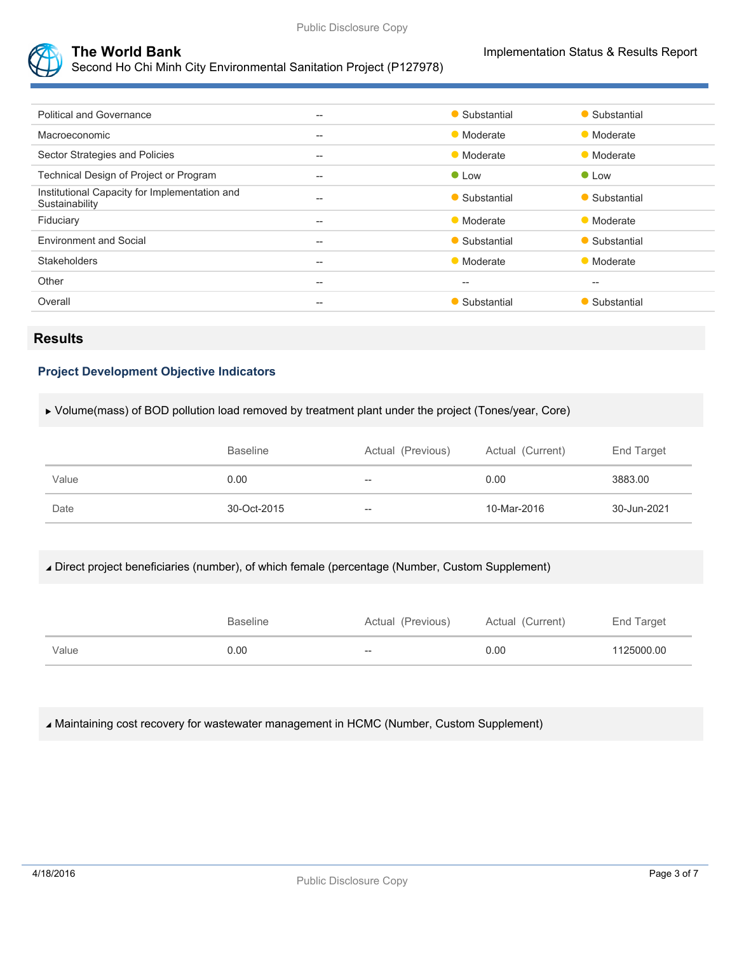

Second Ho Chi Minh City Environmental Sanitation Project (P127978)

| <b>Political and Governance</b>                                 | $--$  | • Substantial | • Substantial |
|-----------------------------------------------------------------|-------|---------------|---------------|
| Macroeconomic                                                   | $--$  | • Moderate    | • Moderate    |
| Sector Strategies and Policies                                  | $--$  | • Moderate    | • Moderate    |
| Technical Design of Project or Program                          | $- -$ | $\bullet$ Low | $\bullet$ Low |
| Institutional Capacity for Implementation and<br>Sustainability | $--$  | • Substantial | • Substantial |
| Fiduciary                                                       | $- -$ | • Moderate    | • Moderate    |
| <b>Environment and Social</b>                                   | $- -$ | • Substantial | • Substantial |
| <b>Stakeholders</b>                                             | $--$  | • Moderate    | • Moderate    |
| Other                                                           | $--$  | --            | $-$           |
| Overall                                                         | $- -$ | • Substantial | • Substantial |
|                                                                 |       |               |               |

# **Results**

### **Project Development Objective Indicators**

#### Volume(mass) of BOD pollution load removed by treatment plant under the project (Tones/year, Core)

|       | <b>Baseline</b> | Actual (Previous) | Actual (Current) | End Target  |
|-------|-----------------|-------------------|------------------|-------------|
| Value | 0.00            | $-$               | 0.00             | 3883.00     |
| Date  | 30-Oct-2015     | $-$               | 10-Mar-2016      | 30-Jun-2021 |

### Direct project beneficiaries (number), of which female (percentage (Number, Custom Supplement)

|       | <b>Baseline</b> | Actual (Previous) | Actual (Current) | End Target |
|-------|-----------------|-------------------|------------------|------------|
| Value | 0.00            | $- -$             | 0.00             | 1125000.00 |

#### Maintaining cost recovery for wastewater management in HCMC (Number, Custom Supplement)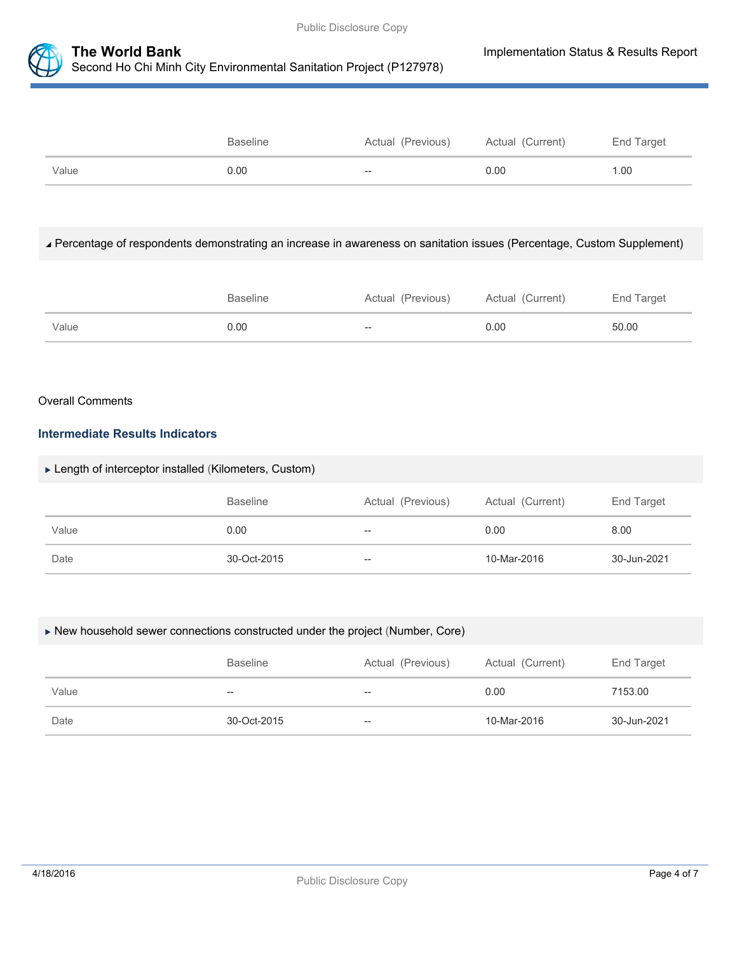

|       | <b>Baseline</b> | Actual (Previous) | Actual (Current) | End Target |
|-------|-----------------|-------------------|------------------|------------|
| Value | 0.00            | $- -$             | 0.00             | 1.00       |

#### Percentage of respondents demonstrating an increase in awareness on sanitation issues (Percentage, Custom Supplement)

|       | <b>Baseline</b> | Actual (Previous) | Actual (Current) | End Target |
|-------|-----------------|-------------------|------------------|------------|
| Value | 0.00            | $- -$             | 0.00             | 50.00      |

#### Overall Comments

## **Intermediate Results Indicators**

#### Length of interceptor installed (Kilometers, Custom)

|       | <b>Baseline</b> | Actual (Previous) | Actual (Current) | End Target  |
|-------|-----------------|-------------------|------------------|-------------|
| Value | 0.00            | $- -$             | 0.00             | 8.00        |
| Date  | 30-Oct-2015     | $- -$             | 10-Mar-2016      | 30-Jun-2021 |

#### New household sewer connections constructed under the project (Number, Core)

|       | <b>Baseline</b> | Actual (Previous) | Actual (Current) | End Target  |
|-------|-----------------|-------------------|------------------|-------------|
| Value | $-$             | $- -$             | 0.00             | 7153.00     |
| Date  | 30-Oct-2015     | $-\!$             | 10-Mar-2016      | 30-Jun-2021 |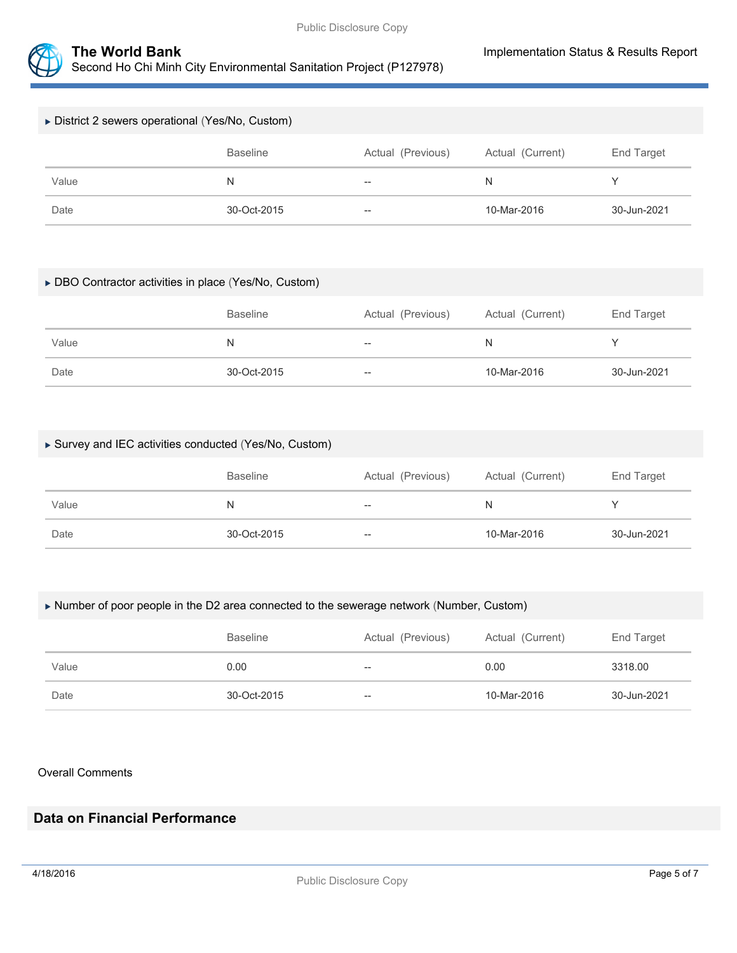

| ▶ District 2 sewers operational (Yes/No, Custom) |                 |                   |                  |             |
|--------------------------------------------------|-----------------|-------------------|------------------|-------------|
|                                                  | <b>Baseline</b> | Actual (Previous) | Actual (Current) | End Target  |
| Value                                            | N               | $\hspace{0.05cm}$ | N                |             |
| Date                                             | 30-Oct-2015     | $- -$             | 10-Mar-2016      | 30-Jun-2021 |

#### DBO Contractor activities in place (Yes/No, Custom)

|       | <b>Baseline</b> | Actual (Previous) | Actual (Current) | End Target  |
|-------|-----------------|-------------------|------------------|-------------|
| Value | N               | $- -$             | N                |             |
| Date  | 30-Oct-2015     | $- -$             | 10-Mar-2016      | 30-Jun-2021 |

### Survey and IEC activities conducted (Yes/No, Custom)

|       | <b>Baseline</b> | Actual (Previous) | Actual (Current) | End Target  |
|-------|-----------------|-------------------|------------------|-------------|
| Value | N               | $- -$             | N                |             |
| Date  | 30-Oct-2015     | $- -$             | 10-Mar-2016      | 30-Jun-2021 |

#### Number of poor people in the D2 area connected to the sewerage network (Number, Custom)

|       | <b>Baseline</b> | Actual (Previous) | Actual (Current) | End Target  |
|-------|-----------------|-------------------|------------------|-------------|
| Value | 0.00            | --                | 0.00             | 3318.00     |
| Date  | 30-Oct-2015     | --                | 10-Mar-2016      | 30-Jun-2021 |

#### Overall Comments

# **Data on Financial Performance**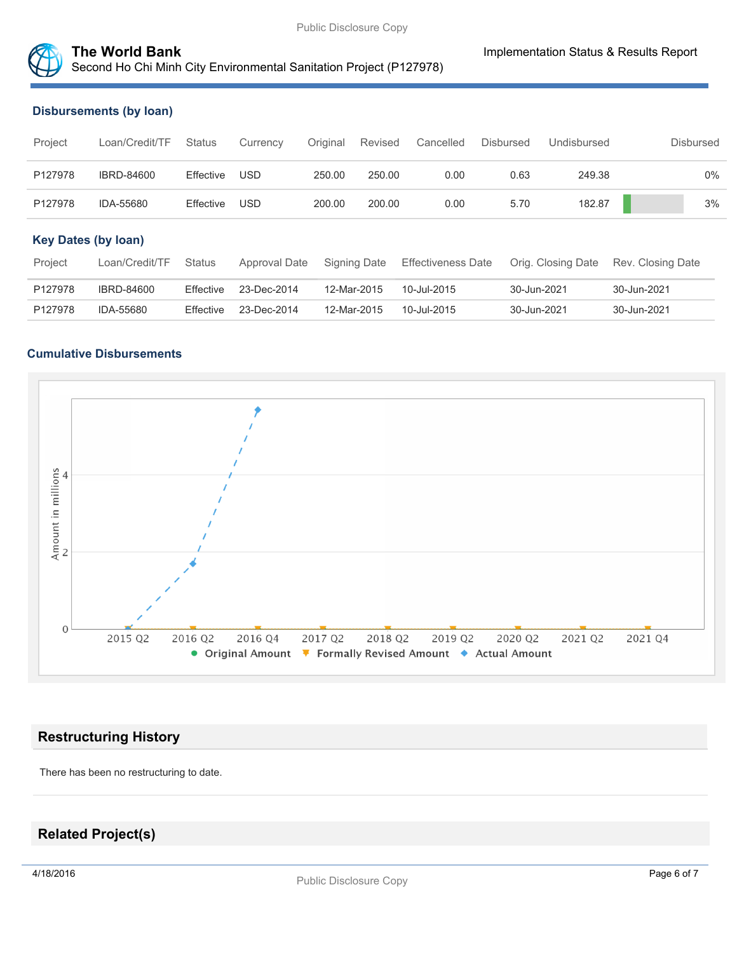

# **The World Bank Implementation Status & Results Report** Second Ho Chi Minh City Environmental Sanitation Project (P127978)

#### **Disbursements (by loan)**

| Project                    | Loan/Credit/TF    | <b>Status</b> | Currency      | Original | <b>Revised</b> | Cancelled                 | <b>Disbursed</b> | Undisbursed        | <b>Disbursed</b>  |       |
|----------------------------|-------------------|---------------|---------------|----------|----------------|---------------------------|------------------|--------------------|-------------------|-------|
| P127978                    | <b>IBRD-84600</b> | Effective     | <b>USD</b>    | 250.00   | 250.00         | 0.00                      | 0.63             | 249.38             |                   | $0\%$ |
| P127978                    | IDA-55680         | Effective     | USD           | 200.00   | 200.00         | 0.00                      | 5.70             | 182.87             |                   | 3%    |
| <b>Key Dates (by loan)</b> |                   |               |               |          |                |                           |                  |                    |                   |       |
| Project                    | Loan/Credit/TF    | <b>Status</b> | Approval Date |          | Signing Date   | <b>Effectiveness Date</b> |                  | Orig. Closing Date | Rev. Closing Date |       |
| P127978                    | IBRD-84600        | Effective     | 23-Dec-2014   |          | 12-Mar-2015    | 10-Jul-2015               | 30-Jun-2021      |                    | 30-Jun-2021       |       |
| P127978                    | IDA-55680         | Effective     | 23-Dec-2014   |          | 12-Mar-2015    | 10-Jul-2015               | 30-Jun-2021      |                    | 30-Jun-2021       |       |

#### **Cumulative Disbursements**



## **Restructuring History**

There has been no restructuring to date.

# **Related Project(s)**